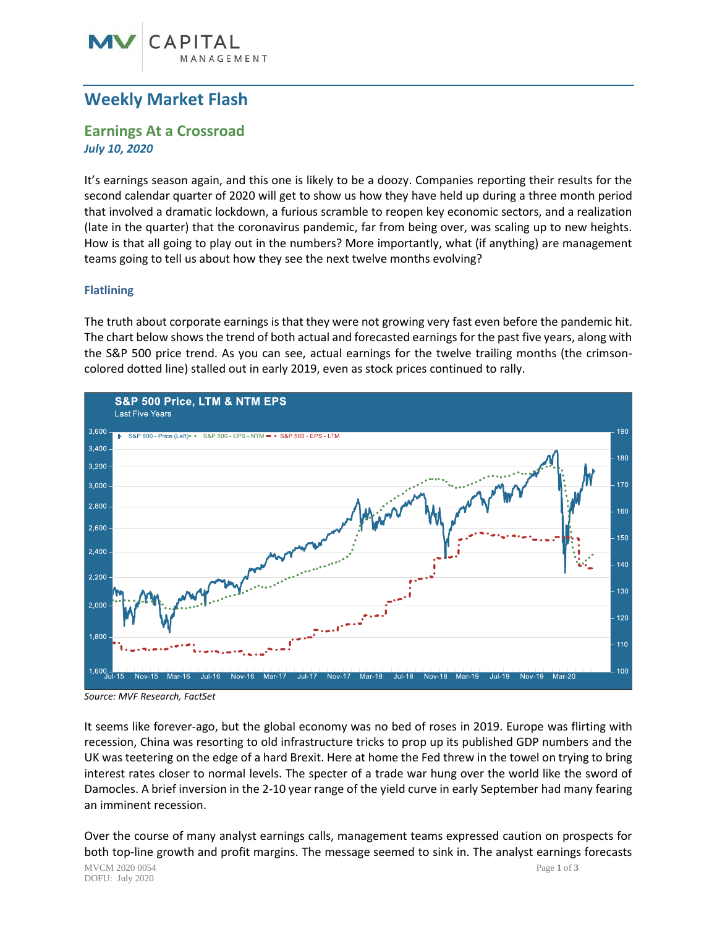# **Weekly Market Flash**

## **Earnings At a Crossroad** *July 10, 2020*

It's earnings season again, and this one is likely to be a doozy. Companies reporting their results for the second calendar quarter of 2020 will get to show us how they have held up during a three month period that involved a dramatic lockdown, a furious scramble to reopen key economic sectors, and a realization (late in the quarter) that the coronavirus pandemic, far from being over, was scaling up to new heights. How is that all going to play out in the numbers? More importantly, what (if anything) are management teams going to tell us about how they see the next twelve months evolving?

## **Flatlining**

The truth about corporate earnings is that they were not growing very fast even before the pandemic hit. The chart below shows the trend of both actual and forecasted earnings for the past five years, along with the S&P 500 price trend. As you can see, actual earnings for the twelve trailing months (the crimsoncolored dotted line) stalled out in early 2019, even as stock prices continued to rally.



*Source: MVF Research, FactSet*

It seems like forever-ago, but the global economy was no bed of roses in 2019. Europe was flirting with recession, China was resorting to old infrastructure tricks to prop up its published GDP numbers and the UK was teetering on the edge of a hard Brexit. Here at home the Fed threw in the towel on trying to bring interest rates closer to normal levels. The specter of a trade war hung over the world like the sword of Damocles. A brief inversion in the 2-10 year range of the yield curve in early September had many fearing an imminent recession.

MVCM 2020 0054 Page **1** of **3** DOFU: July 2020 Over the course of many analyst earnings calls, management teams expressed caution on prospects for both top-line growth and profit margins. The message seemed to sink in. The analyst earnings forecasts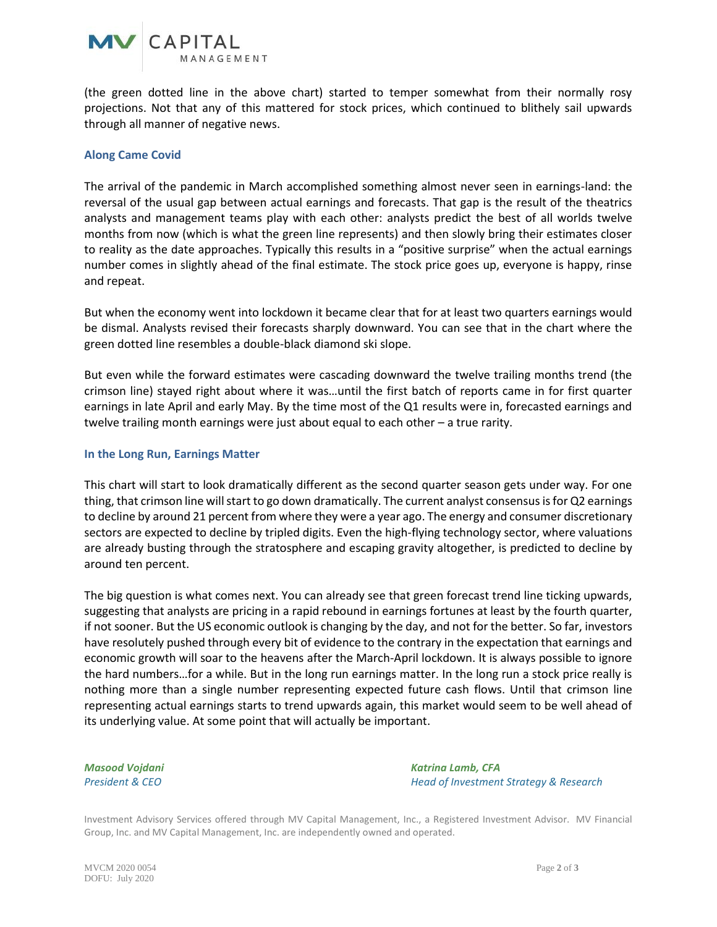

(the green dotted line in the above chart) started to temper somewhat from their normally rosy projections. Not that any of this mattered for stock prices, which continued to blithely sail upwards through all manner of negative news.

### **Along Came Covid**

The arrival of the pandemic in March accomplished something almost never seen in earnings-land: the reversal of the usual gap between actual earnings and forecasts. That gap is the result of the theatrics analysts and management teams play with each other: analysts predict the best of all worlds twelve months from now (which is what the green line represents) and then slowly bring their estimates closer to reality as the date approaches. Typically this results in a "positive surprise" when the actual earnings number comes in slightly ahead of the final estimate. The stock price goes up, everyone is happy, rinse and repeat.

But when the economy went into lockdown it became clear that for at least two quarters earnings would be dismal. Analysts revised their forecasts sharply downward. You can see that in the chart where the green dotted line resembles a double-black diamond ski slope.

But even while the forward estimates were cascading downward the twelve trailing months trend (the crimson line) stayed right about where it was…until the first batch of reports came in for first quarter earnings in late April and early May. By the time most of the Q1 results were in, forecasted earnings and twelve trailing month earnings were just about equal to each other – a true rarity.

#### **In the Long Run, Earnings Matter**

This chart will start to look dramatically different as the second quarter season gets under way. For one thing, that crimson line will start to go down dramatically. The current analyst consensus is for Q2 earnings to decline by around 21 percent from where they were a year ago. The energy and consumer discretionary sectors are expected to decline by tripled digits. Even the high-flying technology sector, where valuations are already busting through the stratosphere and escaping gravity altogether, is predicted to decline by around ten percent.

The big question is what comes next. You can already see that green forecast trend line ticking upwards, suggesting that analysts are pricing in a rapid rebound in earnings fortunes at least by the fourth quarter, if not sooner. But the US economic outlook is changing by the day, and not for the better. So far, investors have resolutely pushed through every bit of evidence to the contrary in the expectation that earnings and economic growth will soar to the heavens after the March-April lockdown. It is always possible to ignore the hard numbers…for a while. But in the long run earnings matter. In the long run a stock price really is nothing more than a single number representing expected future cash flows. Until that crimson line representing actual earnings starts to trend upwards again, this market would seem to be well ahead of its underlying value. At some point that will actually be important.

*Masood Vojdani Katrina Lamb, CFA President & CEO Head of Investment Strategy & Research*

Investment Advisory Services offered through MV Capital Management, Inc., a Registered Investment Advisor. MV Financial Group, Inc. and MV Capital Management, Inc. are independently owned and operated.